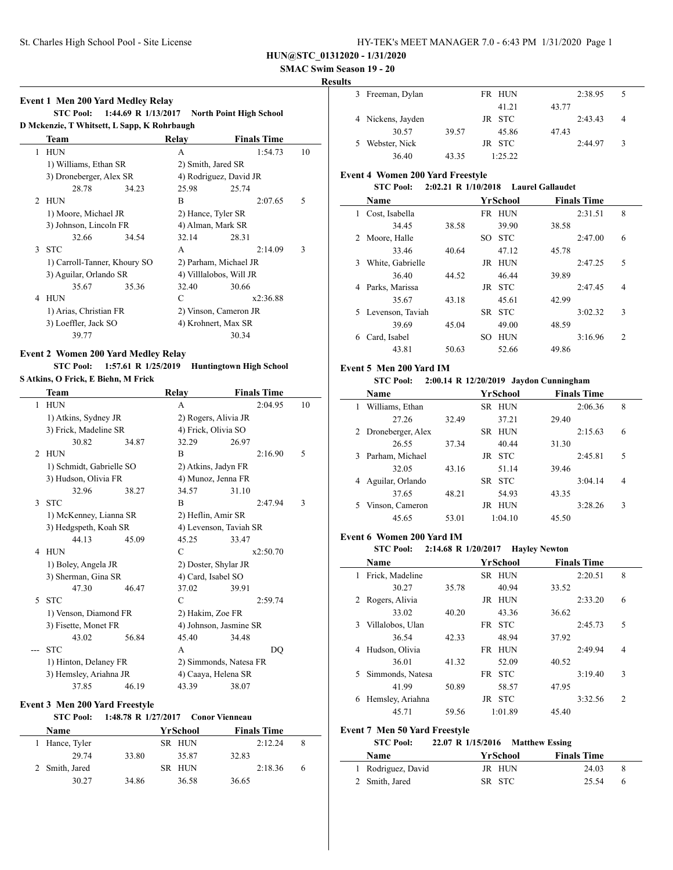## **SMAC Swim Season 19 - 20**

#### **Results**

|                | Team                         |       | Relay | <b>Finals Time</b>      |    |  |
|----------------|------------------------------|-------|-------|-------------------------|----|--|
| 1              | <b>HUN</b>                   |       | A     | 1:54.73                 | 10 |  |
|                | 1) Williams, Ethan SR        |       |       | 2) Smith, Jared SR      |    |  |
|                | 3) Droneberger, Alex SR      |       |       | 4) Rodriguez, David JR  |    |  |
|                | 28.78                        | 34.23 | 25.98 | 25.74                   |    |  |
| $\mathfrak{D}$ | <b>HUN</b>                   |       | R     | 2:07.65                 | 5  |  |
|                | 1) Moore, Michael JR         |       |       | 2) Hance, Tyler SR      |    |  |
|                | 3) Johnson, Lincoln FR       |       |       | 4) Alman, Mark SR       |    |  |
|                | 32.66                        | 34.54 | 32.14 | 28.31                   |    |  |
|                | 3 STC                        |       | A     | 2:14.09                 | 3  |  |
|                | 1) Carroll-Tanner, Khoury SO |       |       | 2) Parham, Michael JR   |    |  |
|                | 3) Aguilar, Orlando SR       |       |       | 4) Villlalobos, Will JR |    |  |
|                | 35.67                        | 35.36 | 32.40 | 30.66                   |    |  |
| 4              | HUN                          |       | C     | x2:36.88                |    |  |
|                | 1) Arias, Christian FR       |       |       | 2) Vinson, Cameron JR   |    |  |
|                | 3) Loeffler, Jack SO         |       |       | 4) Krohnert, Max SR     |    |  |
|                | 39.77                        |       |       | 30.34                   |    |  |

#### **Event 2 Women 200 Yard Medley Relay**

**STC Pool: 1:57.61 R 1/25/2019 Huntingtown High School**

**S Atkins, O Frick, E Biehn, M Frick**

|              | Team                     |       | Relay                  | <b>Finals Time</b> |    |
|--------------|--------------------------|-------|------------------------|--------------------|----|
| $\mathbf{1}$ | <b>HUN</b>               |       | A                      | 2:04.95            | 10 |
|              | 1) Atkins, Sydney JR     |       | 2) Rogers, Alivia JR   |                    |    |
|              | 3) Frick, Madeline SR    |       | 4) Frick, Olivia SO    |                    |    |
|              | 30.82                    | 34.87 | 32.29                  | 26.97              |    |
| 2            | <b>HUN</b>               |       | B                      | 2:16.90            | 5  |
|              | 1) Schmidt, Gabrielle SO |       | 2) Atkins, Jadyn FR    |                    |    |
|              | 3) Hudson, Olivia FR     |       | 4) Munoz, Jenna FR     |                    |    |
|              | 32.96                    | 38.27 | 34.57                  | 31.10              |    |
| 3            | <b>STC</b>               |       | B                      | 2:47.94            | 3  |
|              | 1) McKenney, Lianna SR   |       | 2) Heflin, Amir SR     |                    |    |
|              | 3) Hedgspeth, Koah SR    |       | 4) Levenson, Taviah SR |                    |    |
|              | 44.13                    | 45.09 | 45.25                  | 33.47              |    |
| 4            | <b>HUN</b>               |       | C                      | x2:50.70           |    |
|              | 1) Boley, Angela JR      |       | 2) Doster, Shylar JR   |                    |    |
|              | 3) Sherman, Gina SR      |       | 4) Card, Isabel SO     |                    |    |
|              | 47.30                    | 46.47 | 37.02                  | 39.91              |    |
| 5            | <b>STC</b>               |       | C                      | 2:59.74            |    |
|              | 1) Venson, Diamond FR    |       | 2) Hakim, Zoe FR       |                    |    |
|              | 3) Fisette, Monet FR     |       | 4) Johnson, Jasmine SR |                    |    |
|              | 43.02                    | 56.84 | 45.40                  | 34.48              |    |
|              | <b>STC</b>               |       | A                      | DO                 |    |
|              | 1) Hinton, Delaney FR    |       | 2) Simmonds, Natesa FR |                    |    |
|              | 3) Hemsley, Ariahna JR   |       | 4) Caaya, Helena SR    |                    |    |
|              | 37.85                    | 46.19 | 43.39                  | 38.07              |    |

### **Event 3 Men 200 Yard Freestyle**

| <b>STC Pool:</b> |       |          | 1:48.78 R 1/27/2017 Conor Vienneau |   |
|------------------|-------|----------|------------------------------------|---|
| Name             |       | YrSchool | <b>Finals Time</b>                 |   |
| Hance, Tyler     |       | SR HUN   | 2:12.24                            | 8 |
| 29.74            | 33.80 | 35.87    | 32.83                              |   |
| 2 Smith, Jared   |       | SR HUN   | 2:18.36                            | 6 |
| 30.27            | 34.86 | 36.58    | 36.65                              |   |

| . |                   |       |        |       |         |   |  |
|---|-------------------|-------|--------|-------|---------|---|--|
|   | 3 Freeman, Dylan  |       | FR HUN |       | 2:38.95 |   |  |
|   |                   |       | 41.21  | 43.77 |         |   |  |
|   | 4 Nickens, Jayden |       | JR STC |       | 2:43.43 | 4 |  |
|   | 30.57             | 39.57 | 45.86  | 47.43 |         |   |  |
|   | Webster, Nick     |       | JR STC |       | 2:44.97 | 3 |  |
|   | 36.40             | 43.35 | 1.2522 |       |         |   |  |

## **Event 4 Women 200 Yard Freestyle**

# **STC Pool: 2:02.21 R 1/10/2018 Laurel Gallaudet**

| <b>Name</b>           |       |     | YrSchool   |       | <b>Finals Time</b> |                |
|-----------------------|-------|-----|------------|-------|--------------------|----------------|
| Cost, Isabella<br>L   |       | FR  | <b>HUN</b> |       | 2:31.51            | 8              |
| 34.45                 | 38.58 |     | 39.90      | 38.58 |                    |                |
| Moore, Halle<br>2     |       | SO. | <b>STC</b> |       | 2:47.00            | 6              |
| 33.46                 | 40.64 |     | 47.12      | 45.78 |                    |                |
| White, Gabrielle<br>3 |       | JR  | <b>HUN</b> |       | 2:47.25            | 5              |
| 36.40                 | 44.52 |     | 46.44      | 39.89 |                    |                |
| Parks, Marissa<br>4   |       |     | JR STC     |       | 2:47.45            | $\overline{4}$ |
| 35.67                 | 43.18 |     | 45.61      | 42.99 |                    |                |
| 5 Levenson, Taviah    |       | SR. | <b>STC</b> |       | 3:02.32            | 3              |
| 39.69                 | 45.04 |     | 49.00      | 48.59 |                    |                |
| Card, Isabel<br>6     |       | SO. | <b>HUN</b> |       | 3:16.96            | $\mathfrak{D}$ |
| 43.81                 | 50.63 |     | 52.66      | 49.86 |                    |                |

#### **Event 5 Men 200 Yard IM**

## **STC Pool: 2:00.14 R 12/20/2019 Jaydon Cunningham**

|   | Name                |       | YrSchool          | <b>Finals Time</b> |   |
|---|---------------------|-------|-------------------|--------------------|---|
| 1 | Williams, Ethan     |       | <b>HUN</b><br>SR. | 2:06.36            | 8 |
|   | 27.26               | 32.49 | 37.21             | 29.40              |   |
|   | 2 Droneberger, Alex |       | - HUN<br>SR.      | 2:15.63            | 6 |
|   | 26.55               | 37.34 | 40.44             | 31.30              |   |
| 3 | Parham, Michael     |       | JR STC            | 2:45.81            | 5 |
|   | 32.05               | 43.16 | 51.14             | 39.46              |   |
| 4 | Aguilar, Orlando    |       | <b>STC</b><br>SR. | 3:04.14            | 4 |
|   | 37.65               | 48.21 | 54.93             | 43.35              |   |
|   | Vinson, Cameron     |       | <b>HUN</b><br>JR  | 3:28.26            | 3 |
|   | 45.65               | 53.01 | 1:04.10           | 45.50              |   |

#### **Event 6 Women 200 Yard IM**

 $\overline{a}$ 

#### **STC Pool: 2:14.68 R 1/20/2017 Hayley Newton**

|    | <b>Name</b>      | YrSchool |     | <b>Finals Time</b> |       |         |                |
|----|------------------|----------|-----|--------------------|-------|---------|----------------|
|    | Frick, Madeline  |          |     | SR HUN             |       | 2:20.51 | 8              |
|    | 30.27            | 35.78    |     | 40.94              | 33.52 |         |                |
| 2  | Rogers, Alivia   |          | JR. | <b>HUN</b>         |       | 2:33.20 | 6              |
|    | 33.02            | 40.20    |     | 43.36              | 36.62 |         |                |
| 3  | Villalobos, Ulan |          | FR. | <b>STC</b>         |       | 2:45.73 | 5              |
|    | 36.54            | 42.33    |     | 48.94              | 37.92 |         |                |
| 4  | Hudson, Olivia   |          | FR. | <b>HUN</b>         |       | 2:49.94 | 4              |
|    | 36.01            | 41.32    |     | 52.09              | 40.52 |         |                |
| 5. | Simmonds, Natesa |          | FR. | <b>STC</b>         |       | 3:19.40 | 3              |
|    | 41.99            | 50.89    |     | 58.57              | 47.95 |         |                |
| 6  | Hemsley, Ariahna |          | JR  | <b>STC</b>         |       | 3:32.56 | $\mathfrak{D}$ |
|    | 45.71            | 59.56    |     | 1:01.89            | 45.40 |         |                |

#### **Event 7 Men 50 Yard Freestyle**

| <b>STC Pool:</b> |  | 22.07 R 1/15/2016 | <b>Matthew Essing</b> |
|------------------|--|-------------------|-----------------------|
|------------------|--|-------------------|-----------------------|

| <b>Name</b>        | YrSchool | <b>Finals Time</b> |
|--------------------|----------|--------------------|
| 1 Rodriguez, David | JR HUN   | 24.03              |
| 2 Smith, Jared     | SR STC   | 25.54<br>6         |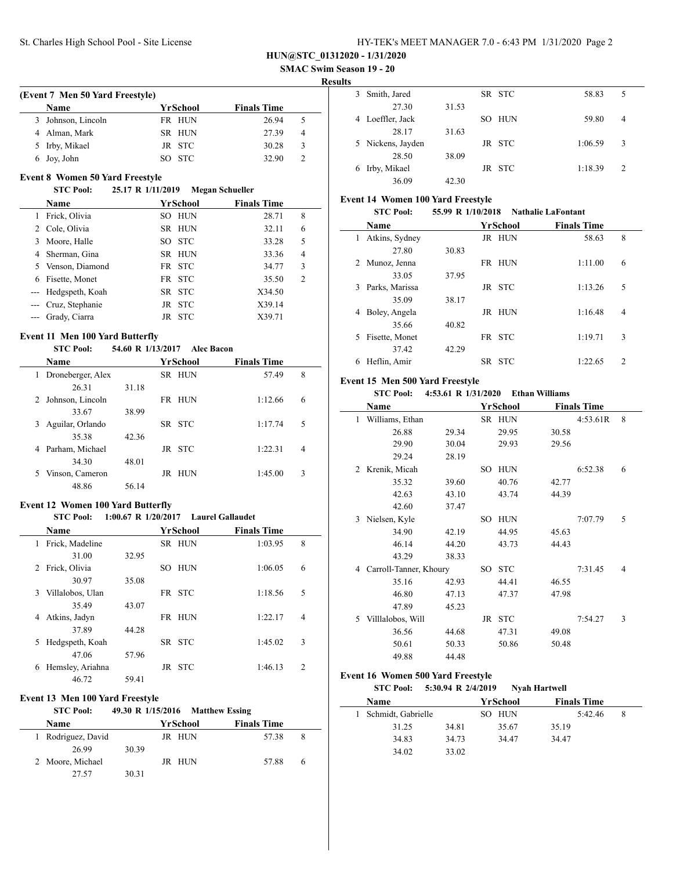**SMAC Swim Season 19 - 20**

#### **Results**

 $\overline{\phantom{a}}$ 

|   | <b>Name</b>      | YrSchool | <b>Finals Time</b> |                |
|---|------------------|----------|--------------------|----------------|
| 3 | Johnson, Lincoln | FR HUN   | 26.94              | 5              |
|   | Alman, Mark      | SR HUN   | 27.39              | $\overline{4}$ |
|   | 5 Irby, Mikael   | JR STC   | 30.28              | 3              |
|   | 6 Joy, John      | SO STC   | 32.90              | 2              |

#### **STC Pool: 25.17 R 1/11/2019 Megan Schueller**

|    | <b>Name</b>         | YrSchool         | <b>Finals Time</b> |
|----|---------------------|------------------|--------------------|
|    | Frick, Olivia       | SO HUN           | 28.71<br>8         |
|    | 2 Cole, Olivia      | SR HUN           | 32.11<br>6         |
| 3  | Moore, Halle        | SO STC           | 33.28<br>5         |
|    | 4 Sherman, Gina     | SR HUN           | 4<br>33.36         |
| 5. | Venson, Diamond     | FR STC           | 3<br>34.77         |
| 6  | Fisette, Monet      | FR STC           | 2<br>35.50         |
|    | --- Hedgspeth, Koah | SR STC           | X34.50             |
|    | --- Cruz, Stephanie | JR STC           | X39.14             |
|    | --- Grady, Ciarra   | <b>STC</b><br>JR | X39.71             |

#### **Event 11 Men 100 Yard Butterfly**

| <b>STC Pool:</b>       |       |          | 54.60 R 1/13/2017 Alec Bacon |                    |   |
|------------------------|-------|----------|------------------------------|--------------------|---|
| <b>Name</b>            |       | YrSchool |                              | <b>Finals Time</b> |   |
| Droneberger, Alex<br>1 |       | SR HUN   |                              | 57.49              | 8 |
| 26.31                  | 31.18 |          |                              |                    |   |
| Johnson, Lincoln<br>2  |       | FR HUN   |                              | 1:12.66            | 6 |
| 33.67                  | 38.99 |          |                              |                    |   |
| Aguilar, Orlando<br>3  |       | SR STC   |                              | 1:17.74            | 5 |
| 35.38                  | 42.36 |          |                              |                    |   |
| Parham, Michael<br>4   |       | JR STC   |                              | 1:22.31            | 4 |
| 34.30                  | 48.01 |          |                              |                    |   |
| Vinson, Cameron<br>5.  |       | JR       | HUN                          | 1:45.00            | 3 |
| 48.86                  | 56.14 |          |                              |                    |   |

#### **Event 12 Women 100 Yard Butterfly**

#### **STC Pool: 1:00.67 R 1/20/2017 Laurel Gallaudet**

|   | <b>Name</b>       |       | <b>YrSchool</b>   | <b>Finals Time</b> |                             |
|---|-------------------|-------|-------------------|--------------------|-----------------------------|
| 1 | Frick, Madeline   |       | SR HUN            | 1:03.95            | 8                           |
|   | 31.00             | 32.95 |                   |                    |                             |
|   | 2 Frick, Olivia   |       | <b>HUN</b><br>SO. | 1:06.05            | 6                           |
|   | 30.97             | 35.08 |                   |                    |                             |
| 3 | Villalobos, Ulan  |       | FR STC            | 1:18.56            | 5                           |
|   | 35.49             | 43.07 |                   |                    |                             |
| 4 | Atkins, Jadyn     |       | HUN<br>FR.        | 1:22.17            | $\overline{4}$              |
|   | 37.89             | 44.28 |                   |                    |                             |
|   | 5 Hedgspeth, Koah |       | SR STC            | 1:45.02            | 3                           |
|   | 47.06             | 57.96 |                   |                    |                             |
| 6 | Hemsley, Ariahna  |       | <b>STC</b><br>JR  | 1:46.13            | $\mathcal{D}_{\mathcal{A}}$ |
|   | 46.72             | 59.41 |                   |                    |                             |

#### **Event 13 Men 100 Yard Freestyle**

## **STC Pool: 49.30 R 1/15/2016 Matthew Essing Name Yr School Finals Time** 1 Rodriguez, David JR HUN 57.38 8 26.99 30.39 2 Moore, Michael JR HUN 57.88 6 27.57 30.31

| . . |                   |       |        |         |   |
|-----|-------------------|-------|--------|---------|---|
| 3   | Smith, Jared      |       | SR STC | 58.83   | 5 |
|     | 27.30             | 31.53 |        |         |   |
|     | 4 Loeffler, Jack  |       | SO HUN | 59.80   | 4 |
|     | 28.17             | 31.63 |        |         |   |
|     | 5 Nickens, Jayden |       | JR STC | 1:06.59 | 3 |
|     | 28.50             | 38.09 |        |         |   |
|     | Irby, Mikael      |       | JR STC | 1:18.39 | 2 |
|     | 36.09             | 42.30 |        |         |   |

#### **Event 14 Women 100 Yard Freestyle**

|    | <b>STC Pool:</b> | 55.99 R 1/10/2018 |        |            | <b>Nathalie LaFontant</b> |                |  |
|----|------------------|-------------------|--------|------------|---------------------------|----------------|--|
|    | Name             |                   |        | YrSchool   | <b>Finals Time</b>        |                |  |
| 1  | Atkins, Sydney   |                   |        | JR HUN     | 58.63                     | 8              |  |
|    | 27.80            | 30.83             |        |            |                           |                |  |
|    | 2 Munoz, Jenna   |                   | FR     | HUN        | 1:11.00                   | 6              |  |
|    | 33.05            | 37.95             |        |            |                           |                |  |
| 3  | Parks, Marissa   |                   | JR STC |            | 1:13.26                   | 5              |  |
|    | 35.09            | 38.17             |        |            |                           |                |  |
| 4  | Boley, Angela    |                   | JR     | HUN        | 1:16.48                   | 4              |  |
|    | 35.66            | 40.82             |        |            |                           |                |  |
| 5. | Fisette, Monet   |                   | FR STC |            | 1:19.71                   | 3              |  |
|    | 37.42            | 42.29             |        |            |                           |                |  |
| 6  | Heflin, Amir     |                   | SR.    | <b>STC</b> | 1:22.65                   | $\overline{c}$ |  |

### **Event 15 Men 500 Yard Freestyle**

# **STC Pool: 4:53.61 R 1/31/2020 Ethan Williams**

|    | Name                   |       |     | YrSchool   |       | <b>Finals Time</b> |   |
|----|------------------------|-------|-----|------------|-------|--------------------|---|
| 1  | Williams, Ethan        |       |     | SR HUN     |       | 4:53.61R           | 8 |
|    | 26.88                  | 29.34 |     | 29.95      | 30.58 |                    |   |
|    | 29.90                  | 30.04 |     | 29.93      | 29.56 |                    |   |
|    | 29.24                  | 28.19 |     |            |       |                    |   |
| 2  | Krenik, Micah          |       | SO. | <b>HUN</b> |       | 6:52.38            | 6 |
|    | 35.32                  | 39.60 |     | 40.76      | 42.77 |                    |   |
|    | 42.63                  | 43.10 |     | 43.74      | 44.39 |                    |   |
|    | 42.60                  | 37.47 |     |            |       |                    |   |
| 3  | Nielsen, Kyle          |       | SO  | <b>HUN</b> |       | 7:07.79            | 5 |
|    | 34.90                  | 42.19 |     | 44.95      | 45.63 |                    |   |
|    | 46.14                  | 44.20 |     | 43.73      | 44.43 |                    |   |
|    | 43.29                  | 38.33 |     |            |       |                    |   |
| 4  | Carroll-Tanner, Khoury |       | SO  | <b>STC</b> |       | 7:31.45            | 4 |
|    | 35.16                  | 42.93 |     | 44.41      | 46.55 |                    |   |
|    | 46.80                  | 47.13 |     | 47.37      | 47.98 |                    |   |
|    | 47.89                  | 45.23 |     |            |       |                    |   |
| 5. | Villlalobos, Will      |       |     | JR STC     |       | 7:54.27            | 3 |
|    | 36.56                  | 44.68 |     | 47.31      | 49.08 |                    |   |
|    | 50.61                  | 50.33 |     | 50.86      | 50.48 |                    |   |
|    | 49.88                  | 44.48 |     |            |       |                    |   |

#### **Event 16 Women 500 Yard Freestyle**

#### **STC Pool: 5:30.94 R 2/4/2019 Nyah Hartwell**

| <b>Name</b>        |       |        | <b>Finals Time</b> |  |
|--------------------|-------|--------|--------------------|--|
| Schmidt, Gabrielle |       | SO HUN | 5:42.46            |  |
| 31.25              | 34.81 | 35.67  | 35.19              |  |
| 34.83              | 34.73 | 34.47  | 34.47              |  |
| 34.02              | 33.02 |        |                    |  |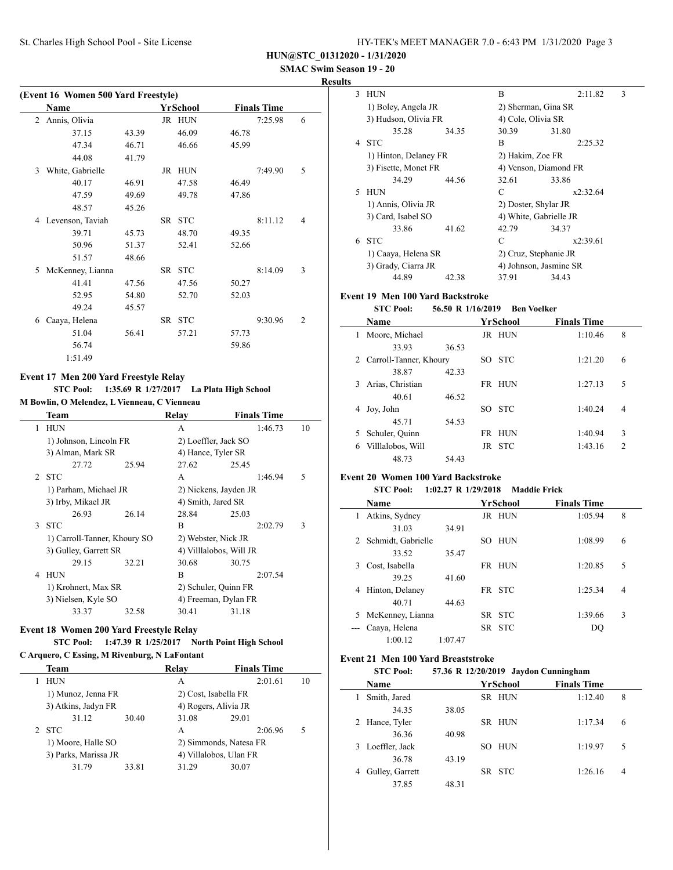| HY-TEK's MEET MANAGER 7.0 - 6:43 PM 1/31/2020 Page 3 |  |
|------------------------------------------------------|--|
|------------------------------------------------------|--|

 **SMAC Swim Season 19 - 20**

| Kesults |  |
|---------|--|
|---------|--|

| (Event 16 Women 500 Yard Freestyle) |                  |       |  |          |       |                    |                |
|-------------------------------------|------------------|-------|--|----------|-------|--------------------|----------------|
|                                     | Name             |       |  | YrSchool |       | <b>Finals Time</b> |                |
| 2                                   | Annis, Olivia    |       |  | JR HUN   |       | 7:25.98            | 6              |
|                                     | 37.15            | 43.39 |  | 46.09    | 46.78 |                    |                |
|                                     | 47.34            | 46.71 |  | 46.66    | 45.99 |                    |                |
|                                     | 44.08            | 41.79 |  |          |       |                    |                |
| $\mathcal{F}$                       | White, Gabrielle |       |  | JR HUN   |       | 7:49.90            | 5              |
|                                     | 40.17            | 46.91 |  | 47.58    | 46.49 |                    |                |
|                                     | 47.59            | 49.69 |  | 49.78    | 47.86 |                    |                |
|                                     | 48.57            | 45.26 |  |          |       |                    |                |
| 4                                   | Levenson, Taviah |       |  | SR STC   |       | 8:11.12            | 4              |
|                                     | 39.71            | 45.73 |  | 48.70    | 49.35 |                    |                |
|                                     | 50.96            | 51.37 |  | 52.41    | 52.66 |                    |                |
|                                     | 51.57            | 48.66 |  |          |       |                    |                |
| 5                                   | McKenney, Lianna |       |  | SR STC   |       | 8:14.09            | 3              |
|                                     | 41.41            | 47.56 |  | 47.56    | 50.27 |                    |                |
|                                     | 52.95            | 54.80 |  | 52.70    | 52.03 |                    |                |
|                                     | 49.24            | 45.57 |  |          |       |                    |                |
| 6                                   | Caaya, Helena    |       |  | SR STC   |       | 9:30.96            | $\overline{c}$ |
|                                     | 51.04            | 56.41 |  | 57.21    | 57.73 |                    |                |
|                                     | 56.74            |       |  |          | 59.86 |                    |                |
|                                     | 1:51.49          |       |  |          |       |                    |                |

### **Event 17 Men 200 Yard Freestyle Relay**

**STC Pool: 1:35.69 R 1/27/2017 La Plata High School M Bowlin, O Melendez, L Vienneau, C Vienneau**

|   | Team                         |       | Relay                   | <b>Finals Time</b> |    |
|---|------------------------------|-------|-------------------------|--------------------|----|
| 1 | <b>HUN</b>                   |       | A                       | 1:46.73            | 10 |
|   | 1) Johnson, Lincoln FR       |       | 2) Loeffler, Jack SO    |                    |    |
|   | 3) Alman, Mark SR            |       | 4) Hance, Tyler SR      |                    |    |
|   | 27.72                        | 25.94 | 27.62                   | 25.45              |    |
|   | 2 STC                        |       | A                       | 1:46.94            | 5  |
|   | 1) Parham, Michael JR        |       | 2) Nickens, Jayden JR   |                    |    |
|   | 3) Irby, Mikael JR           |       | 4) Smith, Jared SR      |                    |    |
|   | 26.93                        | 26.14 | 28.84                   | 25.03              |    |
|   | 3 STC                        |       | B                       | 2:02.79            | 3  |
|   | 1) Carroll-Tanner, Khoury SO |       | 2) Webster, Nick JR     |                    |    |
|   | 3) Gulley, Garrett SR        |       | 4) Villlalobos, Will JR |                    |    |
|   | 29.15                        | 32.21 | 30.68                   | 30.75              |    |
| 4 | <b>HUN</b>                   |       | B                       | 2:07.54            |    |
|   | 1) Krohnert, Max SR          |       | 2) Schuler, Quinn FR    |                    |    |
|   | 3) Nielsen, Kyle SO          |       | 4) Freeman, Dylan FR    |                    |    |
|   | 33.37                        | 32.58 | 30.41                   | 31.18              |    |

# **Event 18 Women 200 Yard Freestyle Relay**

# **STC Pool: 1:47.39 R 1/25/2017 North Point High School**

**C Arquero, C Essing, M Rivenburg, N LaFontant**

| Team                                       |       | Relay                  | <b>Finals Time</b> |                                                |  |  |
|--------------------------------------------|-------|------------------------|--------------------|------------------------------------------------|--|--|
| HUN                                        |       | A                      | 2:01.61            | 10                                             |  |  |
| 1) Munoz, Jenna FR                         |       | 2) Cost, Isabella FR   |                    |                                                |  |  |
| 3) Atkins, Jadyn FR                        |       |                        |                    |                                                |  |  |
| 31.12                                      | 30.40 | 31.08                  | 29.01              |                                                |  |  |
| 2 STC                                      |       | A                      | 2:06.96            | 5                                              |  |  |
| 1) Moore, Halle SO<br>3) Parks, Marissa JR |       | 2) Simmonds, Natesa FR |                    |                                                |  |  |
|                                            |       |                        |                    |                                                |  |  |
| 31.79                                      | 33.81 | 31.29                  | 30.07              |                                                |  |  |
|                                            |       |                        |                    | 4) Rogers, Alivia JR<br>4) Villalobos, Ulan FR |  |  |

| 3 | <b>HUN</b>            |       | B                      | 2:11.82  | 3 |
|---|-----------------------|-------|------------------------|----------|---|
|   | 1) Boley, Angela JR   |       | 2) Sherman, Gina SR    |          |   |
|   | 3) Hudson, Olivia FR  |       | 4) Cole, Olivia SR     |          |   |
|   | 35.28                 | 34.35 | 30.39                  | 31.80    |   |
| 4 | <b>STC</b>            |       | B                      | 2:25.32  |   |
|   | 1) Hinton, Delaney FR |       | 2) Hakim, Zoe FR       |          |   |
|   | 3) Fisette, Monet FR  |       | 4) Venson, Diamond FR  |          |   |
|   | 34.29                 | 44.56 | 32.61                  | 33.86    |   |
| 5 | <b>HUN</b>            |       | C                      | x2:32.64 |   |
|   | 1) Annis, Olivia JR   |       | 2) Doster, Shylar JR   |          |   |
|   | 3) Card, Isabel SO    |       | 4) White, Gabrielle JR |          |   |
|   | 33.86                 | 41.62 | 42.79                  | 34.37    |   |
| 6 | <b>STC</b>            |       | C                      | x2:39.61 |   |
|   | 1) Caaya, Helena SR   |       | 2) Cruz, Stephanie JR  |          |   |
|   | 3) Grady, Ciarra JR   |       | 4) Johnson, Jasmine SR |          |   |
|   | 44.89                 | 42.38 | 37.91                  | 34.43    |   |

## **Event 19 Men 100 Yard Backstroke**

### **STC Pool: 56.50 R 1/16/2019 Ben Voelker**

|    | Name                     |       |    | YrSchool   | <b>Finals Time</b> |                |
|----|--------------------------|-------|----|------------|--------------------|----------------|
| l. | Moore, Michael           |       |    | JR HUN     | 1:10.46            | 8              |
|    | 33.93                    | 36.53 |    |            |                    |                |
|    | 2 Carroll-Tanner, Khoury |       |    | SO STC     | 1:21.20            | 6              |
|    | 38.87                    | 42.33 |    |            |                    |                |
| 3  | Arias, Christian         |       |    | FR HUN     | 1:27.13            | 5              |
|    | 40.61                    | 46.52 |    |            |                    |                |
| 4  | Joy, John                |       | SО | <b>STC</b> | 1:40.24            | 4              |
|    | 45.71                    | 54.53 |    |            |                    |                |
| 5. | Schuler, Quinn           |       |    | FR HUN     | 1:40.94            | 3              |
| 6  | Villlalobos, Will        |       |    | JR STC     | 1:43.16            | $\mathfrak{D}$ |
|    | 48.73                    | 54.43 |    |            |                    |                |

### **Event 20 Women 100 Yard Backstroke**

 $\overline{\phantom{0}}$ 

 $\sim$ 

### **STC Pool: 1:02.27 R 1/29/2018 Maddie Frick**

|   | Name               |         |     | YrSchool   | <b>Finals Time</b> |   |
|---|--------------------|---------|-----|------------|--------------------|---|
| 1 | Atkins, Sydney     |         |     | JR HUN     | 1:05.94            | 8 |
|   | 31.03              | 34.91   |     |            |                    |   |
| 2 | Schmidt, Gabrielle |         | SO. | <b>HUN</b> | 1:08.99            | 6 |
|   | 33.52              | 35.47   |     |            |                    |   |
| 3 | Cost, Isabella     |         |     | FR HUN     | 1:20.85            | 5 |
|   | 39.25              | 41.60   |     |            |                    |   |
| 4 | Hinton, Delaney    |         |     | FR STC     | 1:25.34            | 4 |
|   | 40 71              | 44.63   |     |            |                    |   |
| 5 | McKenney, Lianna   |         |     | SR STC     | 1:39.66            | 3 |
|   | Caaya, Helena      |         |     | SR STC     | DO                 |   |
|   | 1:00.12            | 1:07.47 |     |            |                    |   |

## **Event 21 Men 100 Yard Breaststroke**

|   | <b>STC Pool:</b> |       |    |            | 57.36 R 12/20/2019 Jaydon Cunningham |   |  |
|---|------------------|-------|----|------------|--------------------------------------|---|--|
|   | <b>Name</b>      |       |    | YrSchool   | <b>Finals Time</b>                   |   |  |
|   | Smith, Jared     |       |    | SR HUN     | 1:12.40                              | 8 |  |
|   | 34.35            | 38.05 |    |            |                                      |   |  |
|   | Hance, Tyler     |       |    | SR HUN     | 1:17.34                              | 6 |  |
|   | 36.36            | 40.98 |    |            |                                      |   |  |
| 3 | Loeffler, Jack   |       | SО | <b>HUN</b> | 1:19.97                              | 5 |  |
|   | 36.78            | 43.19 |    |            |                                      |   |  |
| 4 | Gulley, Garrett  |       |    | SR STC     | 1:26.16                              | 4 |  |
|   | 37.85            | 48.31 |    |            |                                      |   |  |